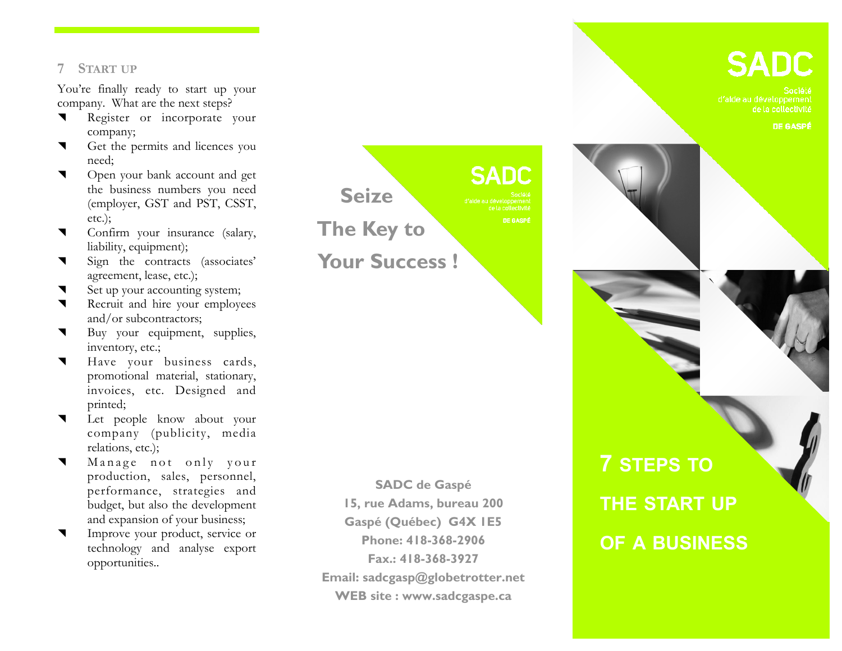### **7 START UP**

You're finally ready to start up your company. What are the next steps?

- Register or incorporate your company;
- Get the permits and licences you need;
- **v** Open your bank account and get the business numbers you need (employer, GST and PST, CSST, etc.);
- Confirm your insurance (salary, liability, equipment);
- Sign the contracts (associates' agreement, lease, etc.);
- Set up your accounting system;
- Recruit and hire your employees and/or subcontractors;
- Buy your equipment, supplies, inventory, etc.;
- Have your business cards, promotional material, stationary, invoices, etc. Designed and printed;
- Let people know about your company (publicity, media relations, etc.);
- Manage not only your production, sales, personnel, performance, strategies and budget, but also the development and expansion of your business;
- Improve your product, service or technology and analyse export opportunities..



**SADC de Gaspé 15, rue Adams, bureau 200 Gaspé (Québec) G4X 1E5 Phone: 418-368-2906 Fax.: 418-368-3927 Email: sadcgasp@globetrotter.net WEB site : www.sadcgaspe.ca** 

# **SADC**

de la collectivité

DE GASPÉ





# **7 STEPS TO THE START UP OF A BUSINESS**